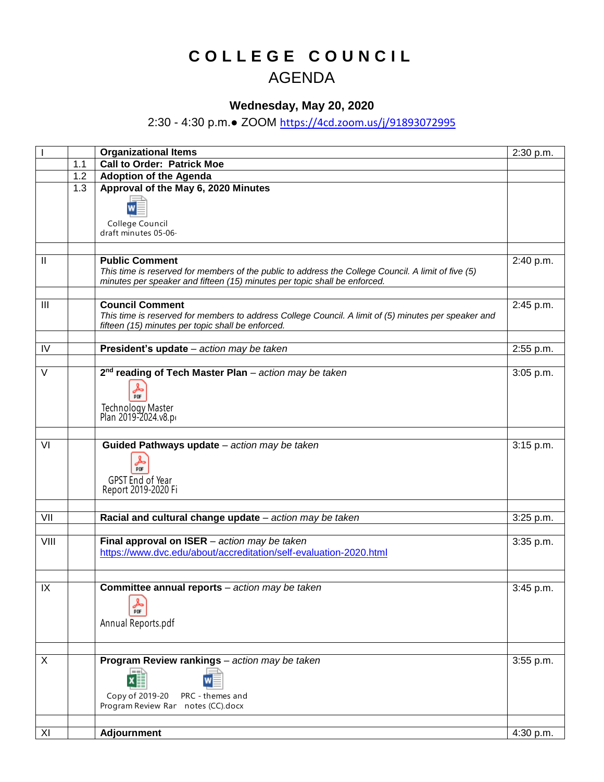## **C O L L E G E C O U N C I L** AGENDA

## **Wednesday, May 20, 2020**

## 2:30 - 4:30 p.m.● ZOOM <https://4cd.zoom.us/j/91893072995>

|                   |     | <b>Organizational Items</b>                                                                                                                                                                               | 2:30 p.m. |
|-------------------|-----|-----------------------------------------------------------------------------------------------------------------------------------------------------------------------------------------------------------|-----------|
|                   | 1.1 | <b>Call to Order: Patrick Moe</b>                                                                                                                                                                         |           |
|                   | 1.2 | <b>Adoption of the Agenda</b>                                                                                                                                                                             |           |
|                   | 1.3 | Approval of the May 6, 2020 Minutes<br>College Council<br>draft minutes 05-06-                                                                                                                            |           |
|                   |     |                                                                                                                                                                                                           |           |
| Ш                 |     | <b>Public Comment</b><br>This time is reserved for members of the public to address the College Council. A limit of five (5)<br>minutes per speaker and fifteen (15) minutes per topic shall be enforced. | 2:40 p.m. |
|                   |     |                                                                                                                                                                                                           |           |
| $\mathbf{III}$    |     | <b>Council Comment</b><br>This time is reserved for members to address College Council. A limit of (5) minutes per speaker and<br>fifteen (15) minutes per topic shall be enforced.                       | 2:45 p.m. |
|                   |     |                                                                                                                                                                                                           |           |
| IV                |     | President's update - action may be taken                                                                                                                                                                  | 2:55 p.m. |
| $\overline{\vee}$ |     | 2 <sup>nd</sup> reading of Tech Master Plan - action may be taken<br>品贩<br>Technology Master<br>Plan 2019-2024.v8.p                                                                                       | 3:05 p.m. |
|                   |     |                                                                                                                                                                                                           |           |
| VI                |     | Guided Pathways update - action may be taken<br>PDF<br>GPST End of Year<br>Report 2019-2020 Fi                                                                                                            | 3:15 p.m. |
|                   |     |                                                                                                                                                                                                           |           |
| VII               |     | Racial and cultural change update - action may be taken                                                                                                                                                   | 3:25 p.m. |
| VIII              |     | Final approval on $ISER - action$ may be taken<br>https://www.dvc.edu/about/accreditation/self-evaluation-2020.html                                                                                       | 3:35 p.m. |
| IX                |     | Committee annual reports - action may be taken                                                                                                                                                            | 3:45 p.m. |
|                   |     | 晶<br>Annual Reports.pdf                                                                                                                                                                                   |           |
| X                 |     | Program Review rankings - action may be taken                                                                                                                                                             | 3:55 p.m. |
|                   |     | $\pmb{\mathsf{x}}$<br>Copy of 2019-20<br>PRC - themes and<br>Program Review Ran notes (CC).docx                                                                                                           |           |
|                   |     |                                                                                                                                                                                                           |           |
| XI                |     | Adjournment                                                                                                                                                                                               | 4:30 p.m. |